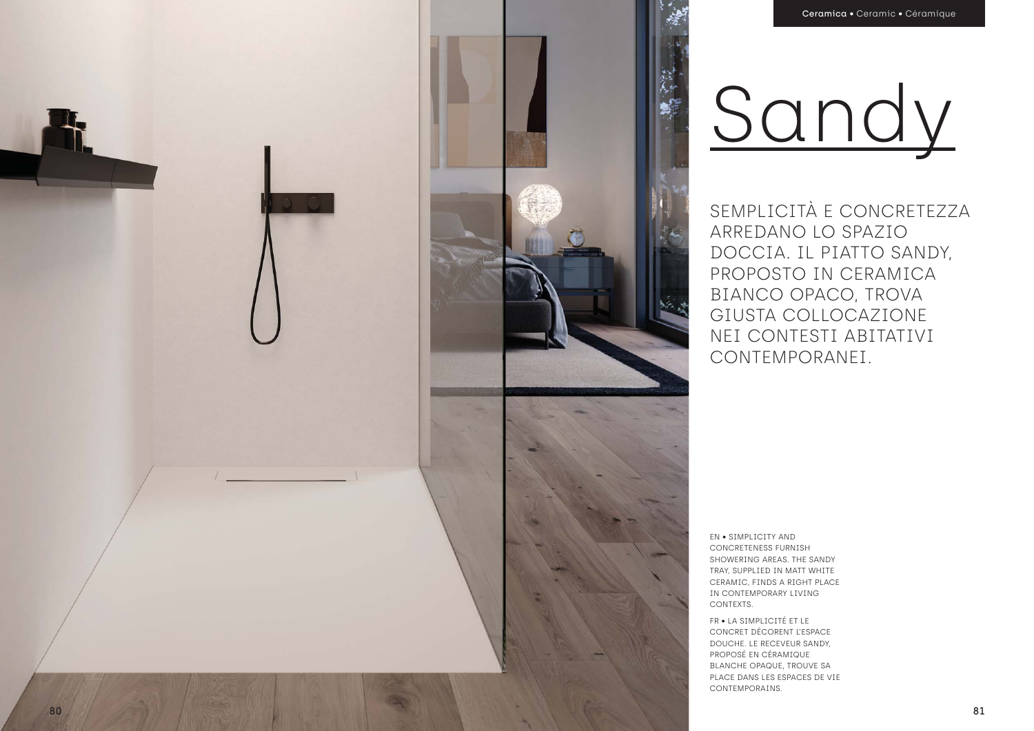SEMPLICITÀ E CONCRETEZZA ARREDANO LO SPAZIO DOCCIA. IL PIATTO SANDY, PROPOSTO IN CERAMICA BIANCO OPACO, TROVA GIUSTA COLLOCAZIONE NEI CONTESTI ABITATIVI CONTEMPORANEI.

EN • SIMPLICITY AND CONCRETENESS FURNISH SHOWERING AREAS. THE SANDY TRAY, SUPPLIED IN MATT WHITE CERAMIC, FINDS A RIGHT PLACE IN CONTEMPORARY LIVING CONTEXTS.

FR • LA SIMPLICITÉ ET LE CONCRET DÉCORENT L'ESPACE DOUCHE. LE RECEVEUR SANDY, PROPOSÉ EN CÉRAMIQUE BLANCHE OPAQUE, TROUVE SA PLACE DANS LES ESPACES DE VIE CONTEMPORAINS.

## Sandy

第一

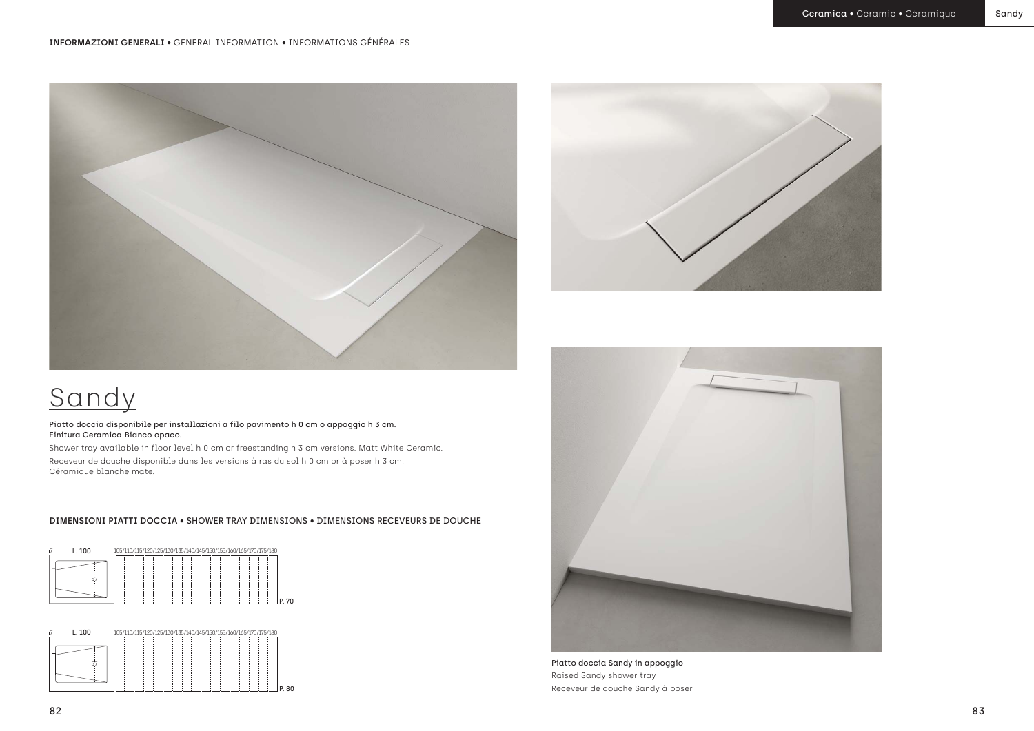Piatto doccia Sandy in appoggio Raised Sandy shower tray Receveur de douche Sandy à poser

## Sandy

Piatto doccia disponibile per installazioni a filo pavimento h 0 cm o appoggio h 3 cm. Finitura Ceramica Bianco opaco.

Shower tray available in floor level h 0 cm or freestanding h 3 cm versions. Matt White Ceramic. Receveur de douche disponible dans les versions à ras du sol h 0 cm or à poser h 3 cm. Céramique blanche mate.





## **DIMENSIONI PIATTI DOCCIA** • SHOWER TRAY DIMENSIONS • DIMENSIONS RECEVEURS DE DOUCHE